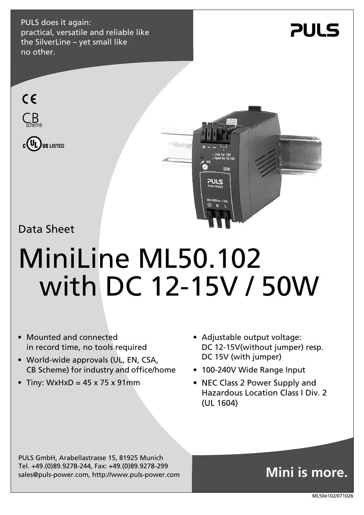PULS does it again: practical, versatile and reliable like the SilverLine – yet small like no other.









Data Sheet

# MiniLine ML50.102 with DC 12-15V / 50W

- Mounted and connected in record time, no tools required
- World-wide approvals (UL, EN, CSA, CB Scheme) for industry and office/home
- Tiny: WxHxD =  $45 \times 75 \times 91$ mm
- Adjustable output voltage: DC 12-15V(without jumper) resp. DC 15V (with jumper)
- 100-240V Wide Range Input
- NEC Class 2 Power Supply and Hazardous Location Class I Div. 2 (UL 1604)

PULS GmbH, Arabellastrasse 15, 81925 Munich Tel. +49.(0)89.9278-244, Fax: +49.(0)89.9278-299 sales@puls-power.com, http://www.puls-power.com

## **Mini is more.**